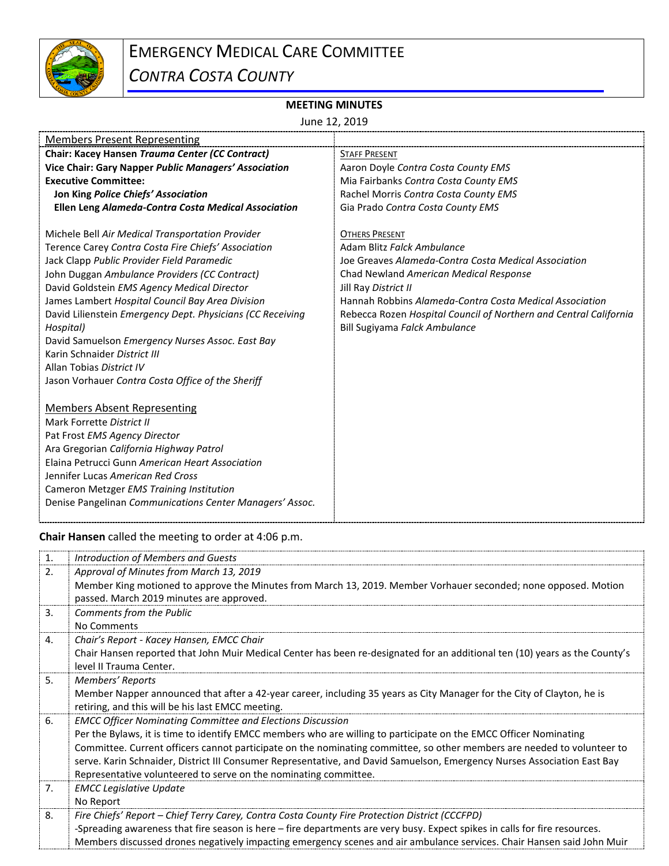

## EMERGENCY MEDICAL CARE COMMITTEE

*CONTRA COSTA COUNTY*

## **MEETING MINUTES**

| June 12, 2019                                                                                                                                                                                                                                                                                                                                                                                                                                                                                                                                                                                                                                                                                                                                                                                                                                                                                            |                                                                                                                                                                                                                                                                                                                                                |  |
|----------------------------------------------------------------------------------------------------------------------------------------------------------------------------------------------------------------------------------------------------------------------------------------------------------------------------------------------------------------------------------------------------------------------------------------------------------------------------------------------------------------------------------------------------------------------------------------------------------------------------------------------------------------------------------------------------------------------------------------------------------------------------------------------------------------------------------------------------------------------------------------------------------|------------------------------------------------------------------------------------------------------------------------------------------------------------------------------------------------------------------------------------------------------------------------------------------------------------------------------------------------|--|
| <b>Members Present Representing</b>                                                                                                                                                                                                                                                                                                                                                                                                                                                                                                                                                                                                                                                                                                                                                                                                                                                                      |                                                                                                                                                                                                                                                                                                                                                |  |
| Chair: Kacey Hansen Trauma Center (CC Contract)                                                                                                                                                                                                                                                                                                                                                                                                                                                                                                                                                                                                                                                                                                                                                                                                                                                          | <b>STAFF PRESENT</b>                                                                                                                                                                                                                                                                                                                           |  |
| Vice Chair: Gary Napper Public Managers' Association                                                                                                                                                                                                                                                                                                                                                                                                                                                                                                                                                                                                                                                                                                                                                                                                                                                     | Aaron Doyle Contra Costa County EMS                                                                                                                                                                                                                                                                                                            |  |
| <b>Executive Committee:</b>                                                                                                                                                                                                                                                                                                                                                                                                                                                                                                                                                                                                                                                                                                                                                                                                                                                                              | Mia Fairbanks Contra Costa County EMS                                                                                                                                                                                                                                                                                                          |  |
| Jon King Police Chiefs' Association                                                                                                                                                                                                                                                                                                                                                                                                                                                                                                                                                                                                                                                                                                                                                                                                                                                                      | Rachel Morris Contra Costa County EMS                                                                                                                                                                                                                                                                                                          |  |
| Ellen Leng Alameda-Contra Costa Medical Association                                                                                                                                                                                                                                                                                                                                                                                                                                                                                                                                                                                                                                                                                                                                                                                                                                                      | Gia Prado Contra Costa County EMS                                                                                                                                                                                                                                                                                                              |  |
| Michele Bell Air Medical Transportation Provider<br>Terence Carey Contra Costa Fire Chiefs' Association<br>Jack Clapp Public Provider Field Paramedic<br>John Duggan Ambulance Providers (CC Contract)<br>David Goldstein EMS Agency Medical Director<br>James Lambert Hospital Council Bay Area Division<br>David Lilienstein Emergency Dept. Physicians (CC Receiving<br>Hospital)<br>David Samuelson Emergency Nurses Assoc. East Bay<br>Karin Schnaider District III<br>Allan Tobias District IV<br>Jason Vorhauer Contra Costa Office of the Sheriff<br><b>Members Absent Representing</b><br>Mark Forrette District II<br>Pat Frost EMS Agency Director<br>Ara Gregorian California Highway Patrol<br>Elaina Petrucci Gunn American Heart Association<br>Jennifer Lucas American Red Cross<br>Cameron Metzger EMS Training Institution<br>Denise Pangelinan Communications Center Managers' Assoc. | <b>OTHERS PRESENT</b><br>Adam Blitz Falck Ambulance<br>Joe Greaves Alameda-Contra Costa Medical Association<br>Chad Newland American Medical Response<br>Jill Ray District II<br>Hannah Robbins Alameda-Contra Costa Medical Association<br>Rebecca Rozen Hospital Council of Northern and Central California<br>Bill Sugiyama Falck Ambulance |  |

**Chair Hansen** called the meeting to order at 4:06 p.m.

| 1. | Introduction of Members and Guests                                                                                          |
|----|-----------------------------------------------------------------------------------------------------------------------------|
| 2. | Approval of Minutes from March 13, 2019                                                                                     |
|    | Member King motioned to approve the Minutes from March 13, 2019. Member Vorhauer seconded; none opposed. Motion             |
|    | passed. March 2019 minutes are approved.                                                                                    |
| 3. | Comments from the Public                                                                                                    |
|    | No Comments                                                                                                                 |
| 4. | Chair's Report - Kacey Hansen, EMCC Chair                                                                                   |
|    | Chair Hansen reported that John Muir Medical Center has been re-designated for an additional ten (10) years as the County's |
|    | level II Trauma Center.                                                                                                     |
| 5. | Members' Reports                                                                                                            |
|    | Member Napper announced that after a 42-year career, including 35 years as City Manager for the City of Clayton, he is      |
|    | retiring, and this will be his last EMCC meeting.                                                                           |
| 6. | <b>EMCC Officer Nominating Committee and Elections Discussion</b>                                                           |
|    | Per the Bylaws, it is time to identify EMCC members who are willing to participate on the EMCC Officer Nominating           |
|    | Committee. Current officers cannot participate on the nominating committee, so other members are needed to volunteer to     |
|    | serve. Karin Schnaider, District III Consumer Representative, and David Samuelson, Emergency Nurses Association East Bay    |
|    | Representative volunteered to serve on the nominating committee.                                                            |
| 7. | <b>EMCC Legislative Update</b>                                                                                              |
|    | No Report                                                                                                                   |
| 8. | Fire Chiefs' Report – Chief Terry Carey, Contra Costa County Fire Protection District (CCCFPD)                              |
|    | -Spreading awareness that fire season is here - fire departments are very busy. Expect spikes in calls for fire resources.  |
|    | Members discussed drones negatively impacting emergency scenes and air ambulance services. Chair Hansen said John Muir      |